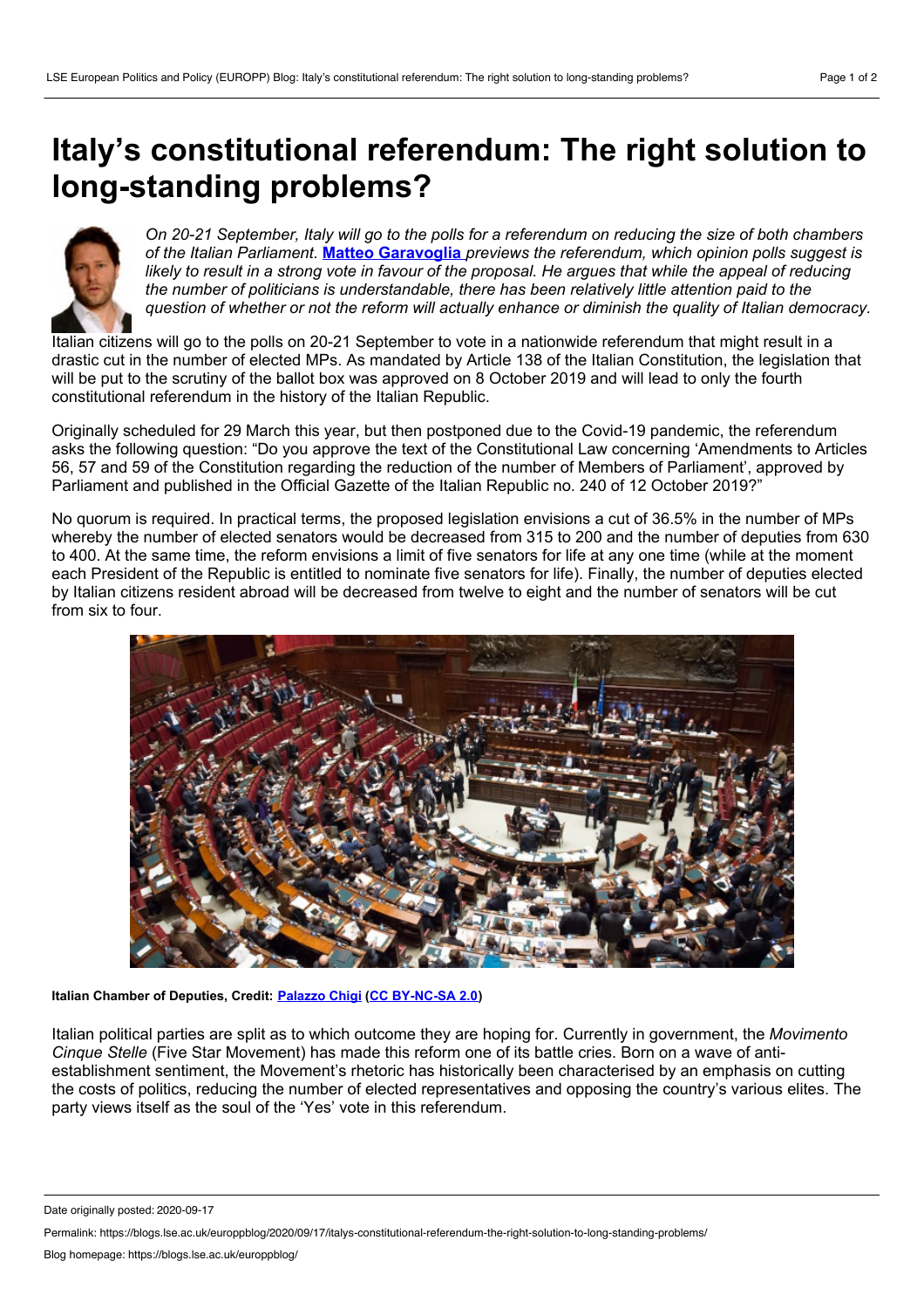## <span id="page-0-0"></span>**Italy's constitutional referendum: The right solution to long-standing problems?**



On 20-21 September, Italy will go to the polls for a referendum on reducing the size of both chambers *of the Italian Parliament.* **Matteo [Garavoglia](#page-0-0)** *previews the referendum, which opinion polls suggest is* likely to result in a strong vote in favour of the proposal. He argues that while the appeal of reducing *the number of politicians is understandable, there has been relatively little attention paid to the question of whether or not the reform will actually enhance or diminish the quality of Italian democracy.*

Italian citizens will go to the polls on 20-21 September to vote in a nationwide referendum that might result in a drastic cut in the number of elected MPs. As mandated by Article 138 of the Italian Constitution, the legislation that will be put to the scrutiny of the ballot box was approved on 8 October 2019 and will lead to only the fourth constitutional referendum in the history of the Italian Republic.

Originally scheduled for 29 March this year, but then postponed due to the Covid-19 pandemic, the referendum asks the following question: "Do you approve the text of the Constitutional Law concerning 'Amendments to Articles 56, 57 and 59 of the Constitution regarding the reduction of the number of Members of Parliament', approved by Parliament and published in the Official Gazette of the Italian Republic no. 240 of 12 October 2019?"

No quorum is required. In practical terms, the proposed legislation envisions a cut of 36.5% in the number of MPs whereby the number of elected senators would be decreased from 315 to 200 and the number of deputies from 630 to 400. At the same time, the reform envisions a limit of five senators for life at any one time (while at the moment each President of the Republic is entitled to nominate five senators for life). Finally, the number of deputies elected by Italian citizens resident abroad will be decreased from twelve to eight and the number of senators will be cut from six to four.



**Italian Chamber of Deputies, Credit: [Palazzo](https://www.flickr.com/photos/97404710@N06/16332313717) Chigi (CC [BY-NC-SA](https://creativecommons.org/licenses/by-nc-sa/2.0/) 2.0)**

Italian political parties are split as to which outcome they are hoping for. Currently in government, the *Movimento Cinque Stelle* (Five Star Movement) has made this reform one of its battle cries. Born on a wave of anti establishment sentiment, the Movement's rhetoric has historically been characterised by an emphasis on cutting the costs of politics, reducing the number of elected representatives and opposing the country's various elites. The party views itself as the soul of the 'Yes' vote in this referendum.

Date originally posted: 2020-09-17

Permalink: https://blogs.lse.ac.uk/europpblog/2020/09/17/italys-constitutional-referendum-the-right-solution-to-long-standing-problems/